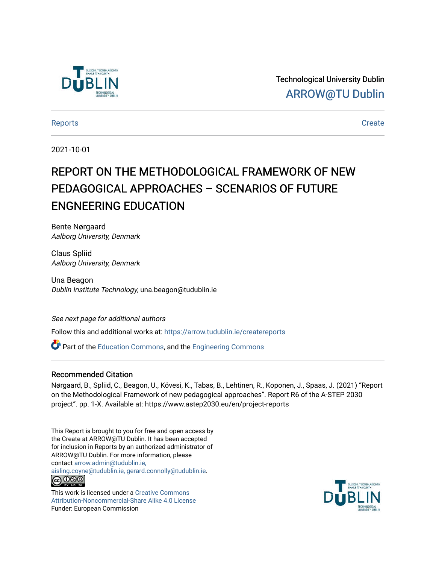

Technological University Dublin [ARROW@TU Dublin](https://arrow.tudublin.ie/) 

#### [Reports](https://arrow.tudublin.ie/createreports) [Create](https://arrow.tudublin.ie/create)

2021-10-01

# REPORT ON THE METHODOLOGICAL FRAMEWORK OF NEW PEDAGOGICAL APPROACHES – SCENARIOS OF FUTURE ENGNEERING EDUCATION

Bente Nørgaard Aalborg University, Denmark

Claus Spliid Aalborg University, Denmark

Una Beagon Dublin Institute Technology, una.beagon@tudublin.ie

#### See next page for additional authors

Follow this and additional works at: [https://arrow.tudublin.ie/createreports](https://arrow.tudublin.ie/createreports?utm_source=arrow.tudublin.ie%2Fcreatereports%2F1&utm_medium=PDF&utm_campaign=PDFCoverPages) 

Part of the [Education Commons](http://network.bepress.com/hgg/discipline/784?utm_source=arrow.tudublin.ie%2Fcreatereports%2F1&utm_medium=PDF&utm_campaign=PDFCoverPages), and the [Engineering Commons](http://network.bepress.com/hgg/discipline/217?utm_source=arrow.tudublin.ie%2Fcreatereports%2F1&utm_medium=PDF&utm_campaign=PDFCoverPages)

## Recommended Citation

Nørgaard, B., Spliid, C., Beagon, U., Kövesi, K., Tabas, B., Lehtinen, R., Koponen, J., Spaas, J. (2021) "Report on the Methodological Framework of new pedagogical approaches". Report R6 of the A-STEP 2030 project". pp. 1-X. Available at: https://www.astep2030.eu/en/project-reports

This Report is brought to you for free and open access by the Create at ARROW@TU Dublin. It has been accepted for inclusion in Reports by an authorized administrator of ARROW@TU Dublin. For more information, please contact [arrow.admin@tudublin.ie,](mailto:arrow.admin@tudublin.ie,%20aisling.coyne@tudublin.ie,%20gerard.connolly@tudublin.ie)  [aisling.coyne@tudublin.ie, gerard.connolly@tudublin.ie](mailto:arrow.admin@tudublin.ie,%20aisling.coyne@tudublin.ie,%20gerard.connolly@tudublin.ie). <u> @ ලෙම</u>

This work is licensed under a [Creative Commons](http://creativecommons.org/licenses/by-nc-sa/4.0/) [Attribution-Noncommercial-Share Alike 4.0 License](http://creativecommons.org/licenses/by-nc-sa/4.0/) Funder: European Commission

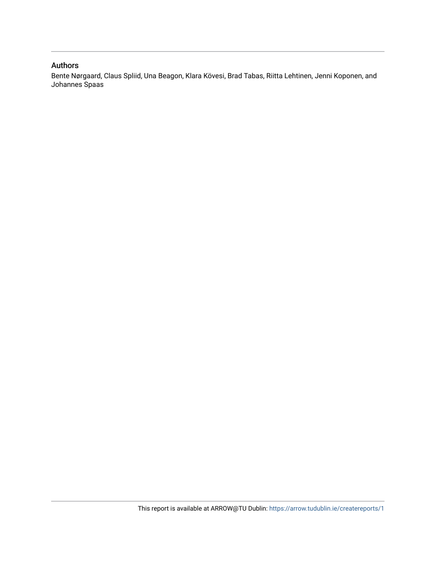## Authors

Bente Nørgaard, Claus Spliid, Una Beagon, Klara Kövesi, Brad Tabas, Riitta Lehtinen, Jenni Koponen, and Johannes Spaas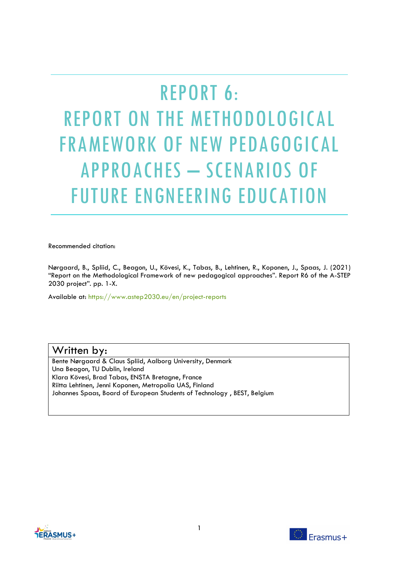# REPORT 6: REPORT ON THE METHODOLOGICAL FRAMEWORK OF NEW PEDAGOGICAL APPROACHES – SCENARIOS OF FUTURE ENGNEERING EDUCATION

Recommended citation:

Nørgaard, B., Spliid, C., Beagon, U., Kövesi, K., Tabas, B., Lehtinen, R., Koponen, J., Spaas, J. (2021) "Report on the Methodological Framework of new pedagogical approaches". Report R6 of the A-STEP 2030 project". pp. 1-X.

Available at: https://www.astep2030.eu/en/project-reports

## Written by:

Bente Nørgaard & Claus Spliid, Aalborg University, Denmark Una Beagon, TU Dublin, Ireland Klara Kövesi, Brad Tabas, ENSTA Bretagne, France Riitta Lehtinen, Jenni Koponen, Metropolia UAS, Finland Johannes Spaas, Board of European Students of Technology , BEST, Belgium



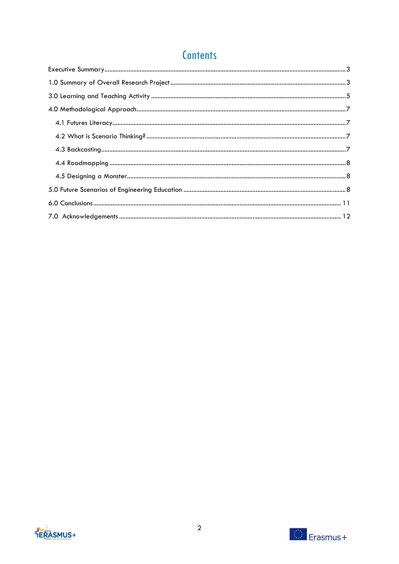# **Contents**



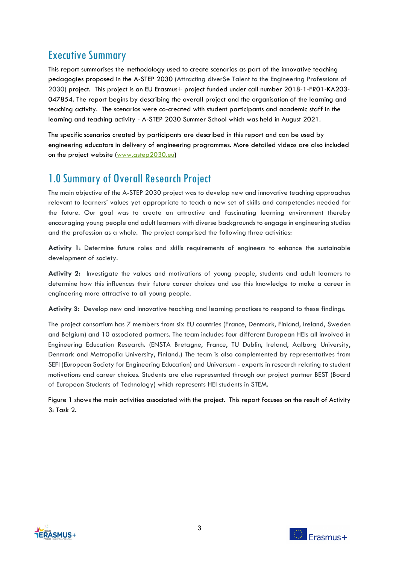# <span id="page-4-0"></span>Executive Summary

This report summarises the methodology used to create scenarios as part of the innovative teaching pedagogies proposed in the A-STEP 2030 (Attracting diverSe Talent to the Engineering Professions of 2030) project. This project is an EU Erasmus+ project funded under call number 2018-1-FR01-KA203- 047854. The report begins by describing the overall project and the organisation of the learning and teaching activity. The scenarios were co-created with student participants and academic staff in the learning and teaching activity - A-STEP 2030 Summer School which was held in August 2021.

The specific scenarios created by participants are described in this report and can be used by engineering educators in delivery of engineering programmes. More detailed videos are also included on the project website [\(www.astep2030.eu\)](http://www.astep2030.eu/)

# <span id="page-4-1"></span>1.0 Summary of Overall Research Project

The main objective of the A-STEP 2030 project was to develop new and innovative teaching approaches relevant to learners' values yet appropriate to teach a new set of skills and competencies needed for the future. Our goal was to create an attractive and fascinating learning environment thereby encouraging young people and adult learners with diverse backgrounds to engage in engineering studies and the profession as a whole. The project comprised the following three activities:

**Activity 1**: Determine future roles and skills requirements of engineers to enhance the sustainable development of society.

**Activity 2:** Investigate the values and motivations of young people, students and adult learners to determine how this influences their future career choices and use this knowledge to make a career in engineering more attractive to all young people.

**Activity 3:** Develop new and innovative teaching and learning practices to respond to these findings.

The project consortium has 7 members from six EU countries (France, Denmark, Finland, Ireland, Sweden and Belgium) and 10 associated partners. The team includes four different European HEIs all involved in Engineering Education Research. (ENSTA Bretagne, France, TU Dublin, Ireland, Aalborg University, Denmark and Metropolia University, Finland.) The team is also complemented by representatives from SEFI (European Society for Engineering Education) and Universum - experts in research relating to student motivations and career choices. Students are also represented through our project partner BEST (Board of European Students of Technology) which represents HEI students in STEM.

Figure 1 shows the main activities associated with the project. This report focuses on the result of Activity 3: Task 2.



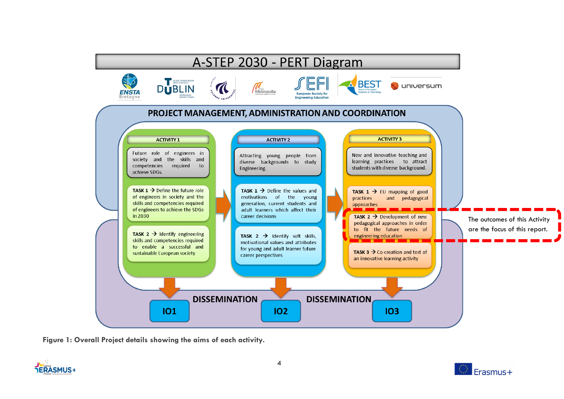

**Figure 1: Overall Project details showing the aims of each activity.**



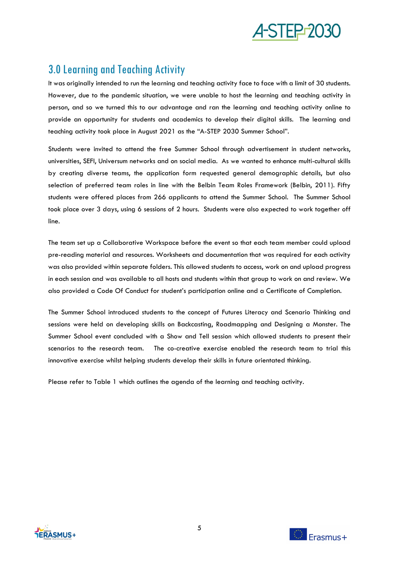

# <span id="page-6-0"></span>3.0 Learning and Teaching Activity

It was originally intended to run the learning and teaching activity face to face with a limit of 30 students. However, due to the pandemic situation, we were unable to host the learning and teaching activity in person, and so we turned this to our advantage and ran the learning and teaching activity online to provide an opportunity for students and academics to develop their digital skills. The learning and teaching activity took place in August 2021 as the "A-STEP 2030 Summer School".

Students were invited to attend the free Summer School through advertisement in student networks, universities, SEFI, Universum networks and on social media. As we wanted to enhance multi-cultural skills by creating diverse teams, the application form requested general demographic details, but also selection of preferred team roles in line with the Belbin Team Roles Framework (Belbin, 2011). Fifty students were offered places from 266 applicants to attend the Summer School. The Summer School took place over 3 days, using 6 sessions of 2 hours. Students were also expected to work together off line.

The team set up a Collaborative Workspace before the event so that each team member could upload pre-reading material and resources. Worksheets and documentation that was required for each activity was also provided within separate folders. This allowed students to access, work on and upload progress in each session and was available to all hosts and students within that group to work on and review. We also provided a Code Of Conduct for student's participation online and a Certificate of Completion.

The Summer School introduced students to the concept of Futures Literacy and Scenario Thinking and sessions were held on developing skills on Backcasting, Roadmapping and Designing a Monster. The Summer School event concluded with a Show and Tell session which allowed students to present their scenarios to the research team. The co-creative exercise enabled the research team to trial this innovative exercise whilst helping students develop their skills in future orientated thinking.

Please refer to Table 1 which outlines the agenda of the learning and teaching activity.



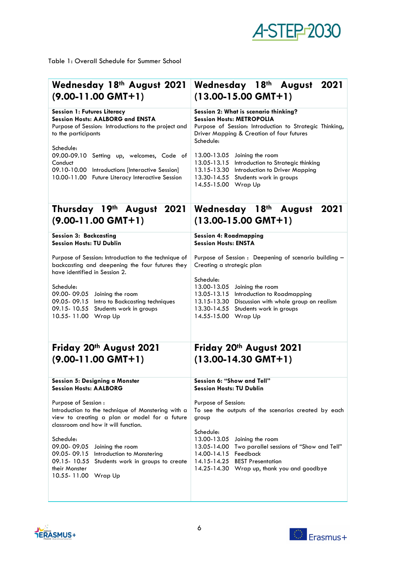# **A-STEP-2030**

Table 1: Overall Schedule for Summer School

| Wednesday 18th August 2021                                                                                                                                             | Wednesday 18th August 2021                                                                                                                                                                                              |
|------------------------------------------------------------------------------------------------------------------------------------------------------------------------|-------------------------------------------------------------------------------------------------------------------------------------------------------------------------------------------------------------------------|
| $(9.00-11.00$ GMT+1)                                                                                                                                                   | $(13.00 - 15.00$ GMT+1)                                                                                                                                                                                                 |
| <b>Session 1: Futures Literacy</b>                                                                                                                                     | Session 2: What is scenario thinking?                                                                                                                                                                                   |
| <b>Session Hosts: AALBORG and ENSTA</b>                                                                                                                                | <b>Session Hosts: METROPOLIA</b>                                                                                                                                                                                        |
| Purpose of Session: Introductions to the project and                                                                                                                   | Purpose of Session: Introduction to Strategic Thinking,                                                                                                                                                                 |
| to the participants                                                                                                                                                    | Driver Mapping & Creation of four futures                                                                                                                                                                               |
| Schedule:                                                                                                                                                              | Schedule:                                                                                                                                                                                                               |
| 09.00-09.10                                                                                                                                                            | 13.00-13.05                                                                                                                                                                                                             |
| Setting up, welcomes, Code of                                                                                                                                          | Joining the room                                                                                                                                                                                                        |
| Conduct<br>09.10-10.00 Introductions [Interactive Session]<br>10.00-11.00 Future Literacy Interactive Session                                                          | 13.05-13.15<br>Introduction to Strategic thinking<br>13.15-13.30<br>Introduction to Driver Mapping<br>13.30-14.55<br>Students work in groups<br>14.55-15.00<br>Wrap Up                                                  |
| Thursday 19th August 2021<br>$(9.00-11.00$ GMT+1)                                                                                                                      | Wednesday 18th August<br>2021<br>$(13.00 - 15.00$ GMT+1)                                                                                                                                                                |
| <b>Session 3: Backcasting</b>                                                                                                                                          | <b>Session 4: Roadmapping</b>                                                                                                                                                                                           |
| <b>Session Hosts: TU Dublin</b>                                                                                                                                        | <b>Session Hosts: ENSTA</b>                                                                                                                                                                                             |
| Purpose of Session: Introduction to the technique of<br>backcasting and deepening the four futures they<br>have identified in Session 2.                               | Purpose of Session : Deepening of scenario building -<br>Creating a strategic plan                                                                                                                                      |
| Schedule:<br>09.00-09.05<br>Joining the room<br>09.05 - 09.15<br>Intro to Backcasting techniques<br>09.15 - 10.55<br>Students work in groups<br>10.55-11.00<br>Wrap Up | Schedule:<br>13.00-13.05<br>Joining the room<br>13.05-13.15<br>Introduction to Roadmapping<br>13.15-13.30<br>Discussion with whole group on realism<br>13.30-14.55<br>Students work in groups<br>14.55-15.00<br>Wrap Up |
| Friday 20th August 2021                                                                                                                                                | Friday 20th August 2021                                                                                                                                                                                                 |
| $(9.00-11.00$ GMT+1)                                                                                                                                                   | $(13.00-14.30$ GMT+1)                                                                                                                                                                                                   |
| Session 5: Designing a Monster                                                                                                                                         | Session 6: "Show and Tell"                                                                                                                                                                                              |
| <b>Session Hosts: AALBORG</b>                                                                                                                                          | <b>Session Hosts: TU Dublin</b>                                                                                                                                                                                         |
| Purpose of Session :                                                                                                                                                   | Purpose of Session:                                                                                                                                                                                                     |
| Introduction to the technique of Monstering with a                                                                                                                     | To see the outputs of the scenarios created by each                                                                                                                                                                     |
| view to creating a plan or model for a future                                                                                                                          | group                                                                                                                                                                                                                   |
| classroom and how it will function.                                                                                                                                    | Schedule:                                                                                                                                                                                                               |
| Schedule:                                                                                                                                                              | 13.00-13.05                                                                                                                                                                                                             |
| 09.00-09.05                                                                                                                                                            | Joining the room                                                                                                                                                                                                        |
| Joining the room                                                                                                                                                       | 13.05-14.00                                                                                                                                                                                                             |
| 09.05 - 09.15                                                                                                                                                          | Two parallel sessions of "Show and Tell"                                                                                                                                                                                |
| Introduction to Monstering                                                                                                                                             | 14.00-14.15                                                                                                                                                                                                             |
| 09.15-10.55                                                                                                                                                            | Feedback                                                                                                                                                                                                                |
| Students work in groups to create                                                                                                                                      | <b>BEST Presentation</b>                                                                                                                                                                                                |
| their Monster                                                                                                                                                          | 14.15-14.25                                                                                                                                                                                                             |
| 10.55-11.00 Wrap Up                                                                                                                                                    | 14.25-14.30 Wrap up, thank you and goodbye                                                                                                                                                                              |
|                                                                                                                                                                        |                                                                                                                                                                                                                         |



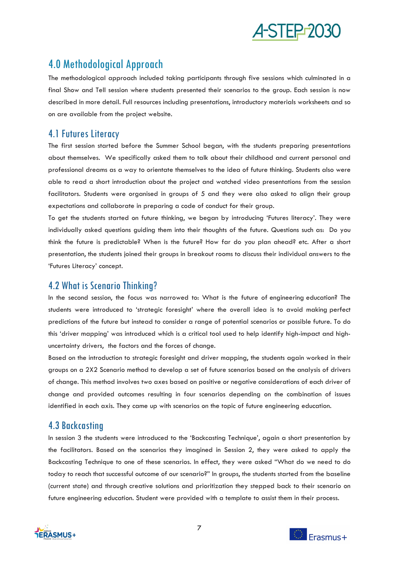

# <span id="page-8-0"></span>4.0 Methodological Approach

The methodological approach included taking participants through five sessions which culminated in a final Show and Tell session where students presented their scenarios to the group. Each session is now described in more detail. Full resources including presentations, introductory materials worksheets and so on are available from the project website.

## <span id="page-8-1"></span>4.1 Futures Literacy

The first session started before the Summer School began, with the students preparing presentations about themselves. We specifically asked them to talk about their childhood and current personal and professional dreams as a way to orientate themselves to the idea of future thinking. Students also were able to read a short introduction about the project and watched video presentations from the session facilitators. Students were organised in groups of 5 and they were also asked to align their group expectations and collaborate in preparing a code of conduct for their group.

To get the students started on future thinking, we began by introducing 'Futures literacy'. They were individually asked questions guiding them into their thoughts of the future. Questions such as: Do you think the future is predictable? When is the future? How far do you plan ahead? etc. After a short presentation, the students joined their groups in breakout rooms to discuss their individual answers to the 'Futures Literacy' concept.

## <span id="page-8-2"></span>4.2 What is Scenario Thinking?

In the second session, the focus was narrowed to: What is the future of engineering education? The students were introduced to 'strategic foresight' where the overall idea is to avoid making perfect predictions of the future but instead to consider a range of potential scenarios or possible future. To do this 'driver mapping' was introduced which is a critical tool used to help identify high-impact and highuncertainty drivers, the factors and the forces of change.

Based on the introduction to strategic foresight and driver mapping, the students again worked in their groups on a 2X2 Scenario method to develop a set of future scenarios based on the analysis of drivers of change. This method involves two axes based on positive or negative considerations of each driver of change and provided outcomes resulting in four scenarios depending on the combination of issues identified in each axis. They came up with scenarios on the topic of future engineering education.

## <span id="page-8-3"></span>4.3 Backcasting

In session 3 the students were introduced to the 'Backcasting Technique', again a short presentation by the facilitators. Based on the scenarios they imagined in Session 2, they were asked to apply the Backcasting Technique to one of these scenarios. In effect, they were asked "What do we need to do today to reach that successful outcome of our scenario?" In groups, the students started from the baseline (current state) and through creative solutions and prioritization they stepped back to their scenario on future engineering education. Student were provided with a template to assist them in their process.



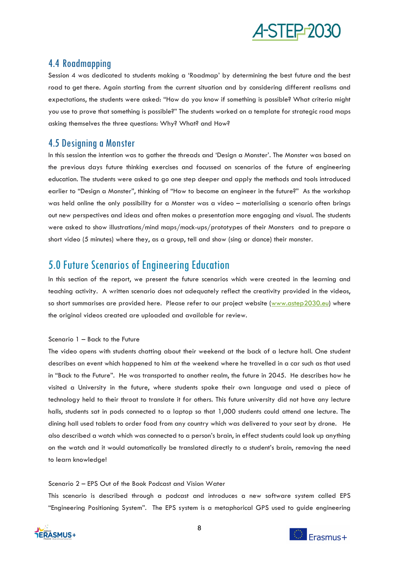

## <span id="page-9-0"></span>4.4 Roadmapping

Session 4 was dedicated to students making a 'Roadmap' by determining the best future and the best road to get there. Again starting from the current situation and by considering different realisms and expectations, the students were asked: "How do you know if something is possible? What criteria might you use to prove that something is possible?" The students worked on a template for strategic road maps asking themselves the three questions: Why? What? and How?

## <span id="page-9-1"></span>4.5 Designing a Monster

In this session the intention was to gather the threads and 'Design a Monster'. The Monster was based on the previous days future thinking exercises and focussed on scenarios of the future of engineering education. The students were asked to go one step deeper and apply the methods and tools introduced earlier to "Design a Monster", thinking of "How to become an engineer in the future?" As the workshop was held online the only possibility for a Monster was a video – materialising a scenario often brings out new perspectives and ideas and often makes a presentation more engaging and visual. The students were asked to show illustrations/mind maps/mock-ups/prototypes of their Monsters and to prepare a short video (5 minutes) where they, as a group, tell and show (sing or dance) their monster.

## <span id="page-9-2"></span>5.0 Future Scenarios of Engineering Education

In this section of the report, we present the future scenarios which were created in the learning and teaching activity. A written scenario does not adequately reflect the creativity provided in the videos, so short summarises are provided here. Please refer to our project website [\(www.astep2030.eu\)](http://www.astep2030.eu/) where the original videos created are uploaded and available for review.

## Scenario 1 – Back to the Future

The video opens with students chatting about their weekend at the back of a lecture hall. One student describes an event which happened to him at the weekend where he travelled in a car such as that used in "Back to the Future". He was transported to another realm, the future in 2045. He describes how he visited a University in the future, where students spoke their own language and used a piece of technology held to their throat to translate it for others. This future university did not have any lecture halls, students sat in pods connected to a laptop so that 1,000 students could attend one lecture. The dining hall used tablets to order food from any country which was delivered to your seat by drone. He also described a watch which was connected to a person's brain, in effect students could look up anything on the watch and it would automatically be translated directly to a student's brain, removing the need to learn knowledge!

## Scenario 2 – EPS Out of the Book Podcast and Vision Water

This scenario is described through a podcast and introduces a new software system called EPS "Engineering Positioning System". The EPS system is a metaphorical GPS used to guide engineering



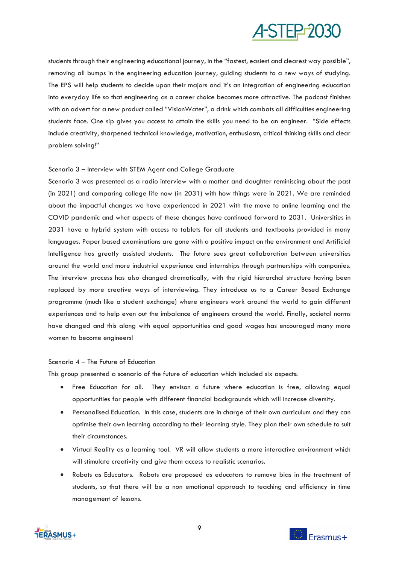

students through their engineering educational journey, in the "fastest, easiest and clearest way possible", removing all bumps in the engineering education journey, guiding students to a new ways of studying. The EPS will help students to decide upon their majors and it's an integration of engineering education into everyday life so that engineering as a career choice becomes more attractive. The podcast finishes with an advert for a new product called "VisionWater", a drink which combats all difficulties engineering students face. One sip gives you access to attain the skills you need to be an engineer. "Side effects include creativity, sharpened technical knowledge, motivation, enthusiasm, critical thinking skills and clear problem solving!"

#### Scenario 3 – Interview with STEM Agent and College Graduate

Scenario 3 was presented as a radio interview with a mother and daughter reminiscing about the past (in 2021) and comparing college life now (in 2031) with how things were in 2021. We are reminded about the impactful changes we have experienced in 2021 with the move to online learning and the COVID pandemic and what aspects of these changes have continued forward to 2031. Universities in 2031 have a hybrid system with access to tablets for all students and textbooks provided in many languages. Paper based examinations are gone with a positive impact on the environment and Artificial Intelligence has greatly assisted students. The future sees great collaboration between universities around the world and more industrial experience and internships through partnerships with companies. The interview process has also changed dramatically, with the rigid hierarchal structure having been replaced by more creative ways of interviewing. They introduce us to a Career Based Exchange programme (much like a student exchange) where engineers work around the world to gain different experiences and to help even out the imbalance of engineers around the world. Finally, societal norms have changed and this along with equal opportunities and good wages has encouraged many more women to become engineers!

#### Scenario 4 – The Future of Education

This group presented a scenario of the future of education which included six aspects:

- Free Education for all. They envison a future where education is free, allowing equal opportunities for people with different financial backgrounds which will increase diversity.
- Personalised Education. In this case, students are in charge of their own curriculum and they can optimise their own learning according to their learning style. They plan their own schedule to suit their circumstances.
- Virtual Reality as a learning tool. VR will allow students a more interactive environment which will stimulate creativity and give them access to realistic scenarios.
- Robots as Educators. Robots are proposed as educators to remove bias in the treatment of students, so that there will be a non emotional approach to teaching and efficiency in time management of lessons.



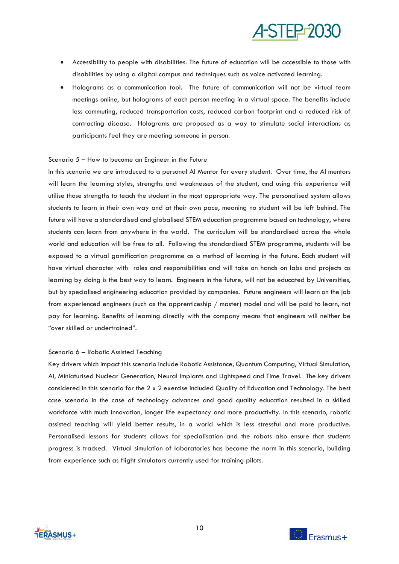

- Accessibility to people with disabilities. The future of education will be accessible to those with disabilities by using a digital campus and techniques such as voice activated learning.
- Holograms as a communication tool. The future of communication will not be virtual team meetings online, but holograms of each person meeting in a virtual space. The benefits include less commuting, reduced transportation costs, reduced carbon footprint and a reduced risk of contracting disease. Holograms are proposed as a way to stimulate social interactions as participants feel they are meeting someone in person.

#### Scenario 5 – How to become an Engineer in the Future

In this scenario we are introduced to a personal AI Mentor for every student. Over time, the AI mentors will learn the learning styles, strengths and weaknesses of the student, and using this experience will utilise those strengths to teach the student in the most appropriate way. The personalised system allows students to learn in their own way and at their own pace, meaning no student will be left behind. The future will have a standardised and globalised STEM education programme based on technology, where students can learn from anywhere in the world. The curriculum will be standardised across the whole world and education will be free to all. Following the standardised STEM programme, students will be exposed to a virtual gamification programme as a method of learning in the future. Each student will have virtual character with roles and responsibilities and will take on hands on labs and projects as learning by doing is the best way to learn. Engineers in the future, will not be educated by Universities, but by specialised engineering education provided by companies. Future engineers will learn on the job from experienced engineers (such as the apprenticeship / master) model and will be paid to learn, not pay for learning. Benefits of learning directly with the company means that engineers will neither be "over skilled or undertrained".

#### Scenario 6 – Robotic Assisted Teaching

Key drivers which impact this scenario include Robotic Assistance, Quantum Computing, Virtual Simulation, AI, Miniaturised Nuclear Generation, Neural Implants and Lightspeed and Time Travel. The key drivers considered in this scenario for the 2 x 2 exercise included Quality of Education and Technology. The best case scenario in the case of technology advances and good quality education resulted in a skilled workforce with much innovation, longer life expectancy and more productivity. In this scenario, robotic assisted teaching will yield better results, in a world which is less stressful and more productive. Personalised lessons for students allows for specialisation and the robots also ensure that students progress is tracked. Virtual simulation of laboratories has become the norm in this scenario, building from experience such as flight simulators currently used for training pilots.



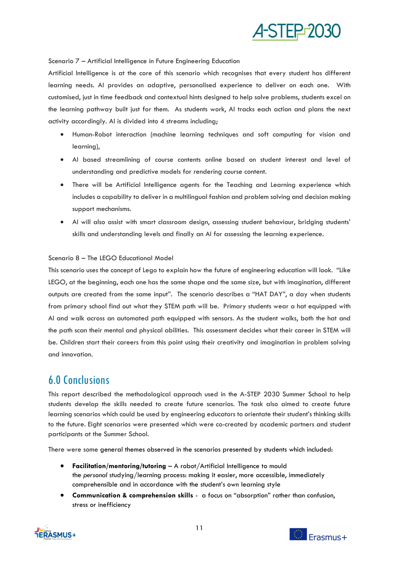

Scenario 7 – Artificial Intelligence in Future Engineering Education

Artificial Intelligence is at the core of this scenario which recognises that every student has different learning needs. AI provides an adaptive, personalised experience to deliver on each one. With customised, just in time feedback and contextual hints designed to help solve problems, students excel on the learning pathway built just for them. As students work, AI tracks each action and plans the next activity accordingly. AI is divided into 4 streams including;

- Human-Robot interaction (machine learning techniques and soft computing for vision and learning),
- AI based streamlining of course contents online based on student interest and level of understanding and predictive models for rendering course content.
- There will be Artificial Intelligence agents for the Teaching and Learning experience which includes a capability to deliver in a multilingual fashion and problem solving and decision making support mechanisms.
- AI will also assist with smart classroom design, assessing student behaviour, bridging students' skills and understanding levels and finally an AI for assessing the learning experience.

## Scenario 8 – The LEGO Educational Model

This scenario uses the concept of Lego to explain how the future of engineering education will look. "Like LEGO, at the beginning, each one has the same shape and the same size, but with imagination, different outputs are created from the same input". The scenario describes a "HAT DAY", a day when students from primary school find out what they STEM path will be. Primary students wear a hat equipped with AI and walk across an automated path equipped with sensors. As the student walks, both the hat and the path scan their mental and physical abilities. This assessment decides what their career in STEM will be. Children start their careers from this point using their creativity and imagination in problem solving and innovation.

## <span id="page-12-0"></span>6.0 Conclusions

This report described the methodological approach used in the A-STEP 2030 Summer School to help students develop the skills needed to create future scenarios. The task also aimed to create future learning scenarios which could be used by engineering educators to orientate their student's thinking skills to the future. Eight scenarios were presented which were co-created by academic partners and student participants at the Summer School.

There were some general themes observed in the scenarios presented by students which included:

- **Facilitation/mentoring/tutoring** A robot/Artificial Intelligence to mould the *personal* studying/learning process: making it easier, more accessible, immediately comprehensible and in accordance with the student's own learning style
- **Communication & comprehension skills** a focus on "absorption" rather than confusion, stress or inefficiency